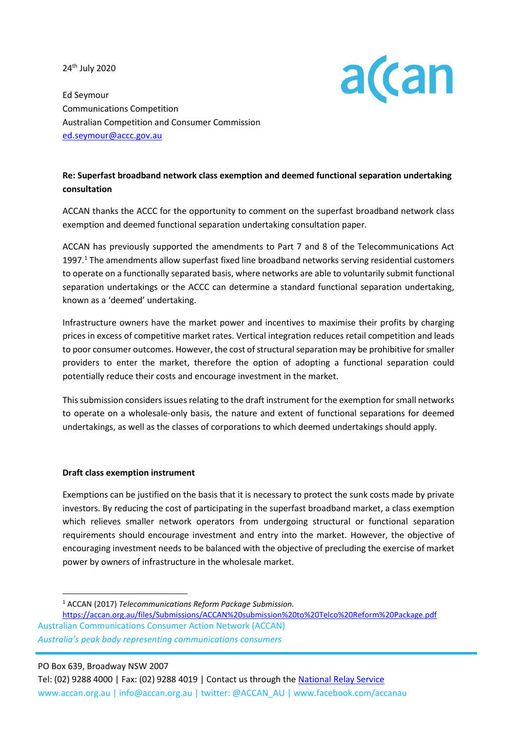24th July 2020



Ed Seymour Communications Competition Australian Competition and Consumer Commission [ed.seymour@accc.gov.au](mailto:ed.seymour@accc.gov.au)

# **Re: Superfast broadband network class exemption and deemed functional separation undertaking consultation**

ACCAN thanks the ACCC for the opportunity to comment on the superfast broadband network class exemption and deemed functional separation undertaking consultation paper.

ACCAN has previously supported the amendments to Part 7 and 8 of the Telecommunications Act 1997.<sup>1</sup> The amendments allow superfast fixed line broadband networks serving residential customers to operate on a functionally separated basis, where networks are able to voluntarily submit functional separation undertakings or the ACCC can determine a standard functional separation undertaking, known as a 'deemed' undertaking.

Infrastructure owners have the market power and incentives to maximise their profits by charging prices in excess of competitive market rates. Vertical integration reduces retail competition and leads to poor consumer outcomes. However, the cost of structural separation may be prohibitive for smaller providers to enter the market, therefore the option of adopting a functional separation could potentially reduce their costs and encourage investment in the market.

This submission considers issues relating to the draft instrument for the exemption for small networks to operate on a wholesale-only basis, the nature and extent of functional separations for deemed undertakings, as well as the classes of corporations to which deemed undertakings should apply.

## **Draft class exemption instrument**

Exemptions can be justified on the basis that it is necessary to protect the sunk costs made by private investors. By reducing the cost of participating in the superfast broadband market, a class exemption which relieves smaller network operators from undergoing structural or functional separation requirements should encourage investment and entry into the market. However, the objective of encouraging investment needs to be balanced with the objective of precluding the exercise of market power by owners of infrastructure in the wholesale market.

<sup>1</sup> ACCAN (2017) *Telecommunications Reform Package Submission.*

Australian Communications Consumer Action Network (ACCAN) <https://accan.org.au/files/Submissions/ACCAN%20submission%20to%20Telco%20Reform%20Package.pdf>

*Australia's peak body representing communications consumers*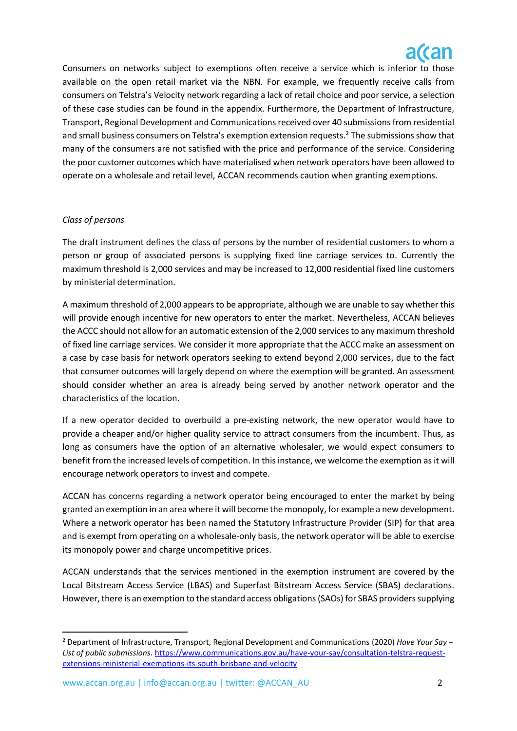Consumers on networks subject to exemptions often receive a service which is inferior to those available on the open retail market via the NBN. For example, we frequently receive calls from consumers on Telstra's Velocity network regarding a lack of retail choice and poor service, a selection of these case studies can be found in the appendix. Furthermore, the Department of Infrastructure, Transport, Regional Development and Communications received over 40 submissions from residential and small business consumers on Telstra's exemption extension requests.<sup>2</sup> The submissions show that many of the consumers are not satisfied with the price and performance of the service. Considering the poor customer outcomes which have materialised when network operators have been allowed to operate on a wholesale and retail level, ACCAN recommends caution when granting exemptions.

# *Class of persons*

The draft instrument defines the class of persons by the number of residential customers to whom a person or group of associated persons is supplying fixed line carriage services to. Currently the maximum threshold is 2,000 services and may be increased to 12,000 residential fixed line customers by ministerial determination.

A maximum threshold of 2,000 appears to be appropriate, although we are unable to say whether this will provide enough incentive for new operators to enter the market. Nevertheless, ACCAN believes the ACCC should not allow for an automatic extension of the 2,000 services to any maximum threshold of fixed line carriage services. We consider it more appropriate that the ACCC make an assessment on a case by case basis for network operators seeking to extend beyond 2,000 services, due to the fact that consumer outcomes will largely depend on where the exemption will be granted. An assessment should consider whether an area is already being served by another network operator and the characteristics of the location.

If a new operator decided to overbuild a pre-existing network, the new operator would have to provide a cheaper and/or higher quality service to attract consumers from the incumbent. Thus, as long as consumers have the option of an alternative wholesaler, we would expect consumers to benefit from the increased levels of competition. In this instance, we welcome the exemption as it will encourage network operators to invest and compete.

ACCAN has concerns regarding a network operator being encouraged to enter the market by being granted an exemption in an area where it will become the monopoly, for example a new development. Where a network operator has been named the Statutory Infrastructure Provider (SIP) for that area and is exempt from operating on a wholesale-only basis, the network operator will be able to exercise its monopoly power and charge uncompetitive prices.

ACCAN understands that the services mentioned in the exemption instrument are covered by the Local Bitstream Access Service (LBAS) and Superfast Bitstream Access Service (SBAS) declarations. However, there is an exemption to the standard access obligations(SAOs) for SBAS providers supplying

<sup>2</sup> Department of Infrastructure, Transport, Regional Development and Communications (2020) *Have Your Say – List of public submissions*. [https://www.communications.gov.au/have-your-say/consultation-telstra-request](https://www.communications.gov.au/have-your-say/consultation-telstra-request-extensions-ministerial-exemptions-its-south-brisbane-and-velocity)[extensions-ministerial-exemptions-its-south-brisbane-and-velocity](https://www.communications.gov.au/have-your-say/consultation-telstra-request-extensions-ministerial-exemptions-its-south-brisbane-and-velocity)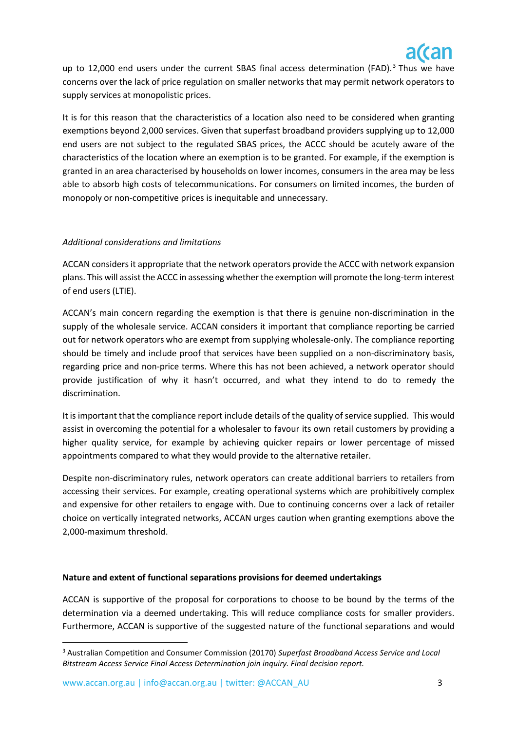

up to 12,000 end users under the current SBAS final access determination (FAD).<sup>3</sup> Thus we have concerns over the lack of price regulation on smaller networks that may permit network operators to supply services at monopolistic prices.

It is for this reason that the characteristics of a location also need to be considered when granting exemptions beyond 2,000 services. Given that superfast broadband providers supplying up to 12,000 end users are not subject to the regulated SBAS prices, the ACCC should be acutely aware of the characteristics of the location where an exemption is to be granted. For example, if the exemption is granted in an area characterised by households on lower incomes, consumers in the area may be less able to absorb high costs of telecommunications. For consumers on limited incomes, the burden of monopoly or non-competitive prices is inequitable and unnecessary.

## *Additional considerations and limitations*

ACCAN considers it appropriate that the network operators provide the ACCC with network expansion plans. This will assist the ACCC in assessing whether the exemption will promote the long-term interest of end users (LTIE).

ACCAN's main concern regarding the exemption is that there is genuine non-discrimination in the supply of the wholesale service. ACCAN considers it important that compliance reporting be carried out for network operators who are exempt from supplying wholesale-only. The compliance reporting should be timely and include proof that services have been supplied on a non-discriminatory basis, regarding price and non-price terms. Where this has not been achieved, a network operator should provide justification of why it hasn't occurred, and what they intend to do to remedy the discrimination.

It is important that the compliance report include details of the quality of service supplied. This would assist in overcoming the potential for a wholesaler to favour its own retail customers by providing a higher quality service, for example by achieving quicker repairs or lower percentage of missed appointments compared to what they would provide to the alternative retailer.

Despite non-discriminatory rules, network operators can create additional barriers to retailers from accessing their services. For example, creating operational systems which are prohibitively complex and expensive for other retailers to engage with. Due to continuing concerns over a lack of retailer choice on vertically integrated networks, ACCAN urges caution when granting exemptions above the 2,000-maximum threshold.

## **Nature and extent of functional separations provisions for deemed undertakings**

ACCAN is supportive of the proposal for corporations to choose to be bound by the terms of the determination via a deemed undertaking. This will reduce compliance costs for smaller providers. Furthermore, ACCAN is supportive of the suggested nature of the functional separations and would

<sup>3</sup> Australian Competition and Consumer Commission (20170) *Superfast Broadband Access Service and Local Bitstream Access Service Final Access Determination join inquiry. Final decision report.*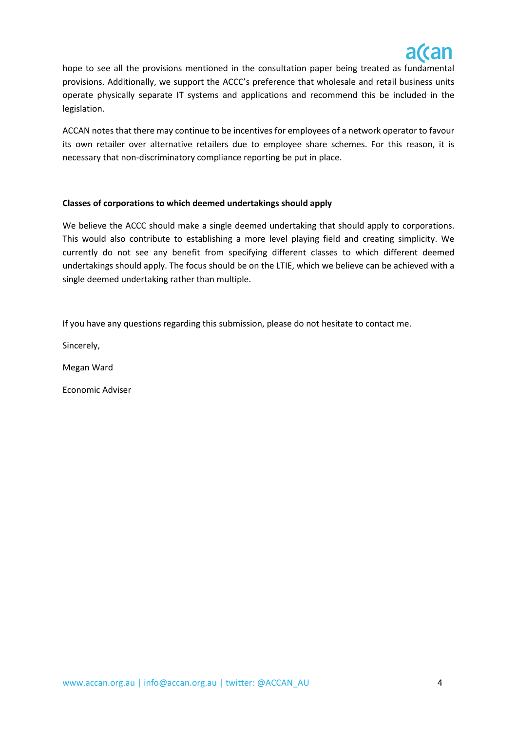

hope to see all the provisions mentioned in the consultation paper being treated as fundamental provisions. Additionally, we support the ACCC's preference that wholesale and retail business units operate physically separate IT systems and applications and recommend this be included in the legislation.

ACCAN notes that there may continue to be incentives for employees of a network operator to favour its own retailer over alternative retailers due to employee share schemes. For this reason, it is necessary that non-discriminatory compliance reporting be put in place.

# **Classes of corporations to which deemed undertakings should apply**

We believe the ACCC should make a single deemed undertaking that should apply to corporations. This would also contribute to establishing a more level playing field and creating simplicity. We currently do not see any benefit from specifying different classes to which different deemed undertakings should apply. The focus should be on the LTIE, which we believe can be achieved with a single deemed undertaking rather than multiple.

If you have any questions regarding this submission, please do not hesitate to contact me.

Sincerely,

Megan Ward

Economic Adviser